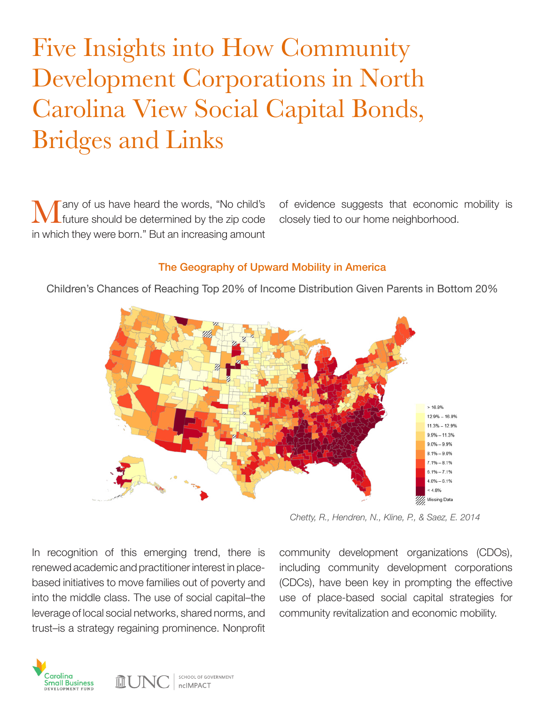# Five Insights into How Community Development Corporations in North Carolina View Social Capital Bonds, Bridges and Links

**Many** of us have heard the words, "No child's future should be determined by the zip code in which they were born." But an increasing amount

of evidence suggests that economic mobility is closely tied to our home neighborhood.

#### The Geography of Upward Mobility in America

Children's Chances of Reaching Top 20% of Income Distribution Given Parents in Bottom 20%



*Chetty, R., Hendren, N., Kline, P., & Saez, E. 2014*

In recognition of this emerging trend, there is renewed academic and practitioner interest in placebased initiatives to move families out of poverty and into the middle class. The use of social capital–the leverage of local social networks, shared norms, and trust–is a strategy regaining prominence. Nonprofit

community development organizations (CDOs), including community development corporations (CDCs), have been key in prompting the effective use of place-based social capital strategies for community revitalization and economic mobility.



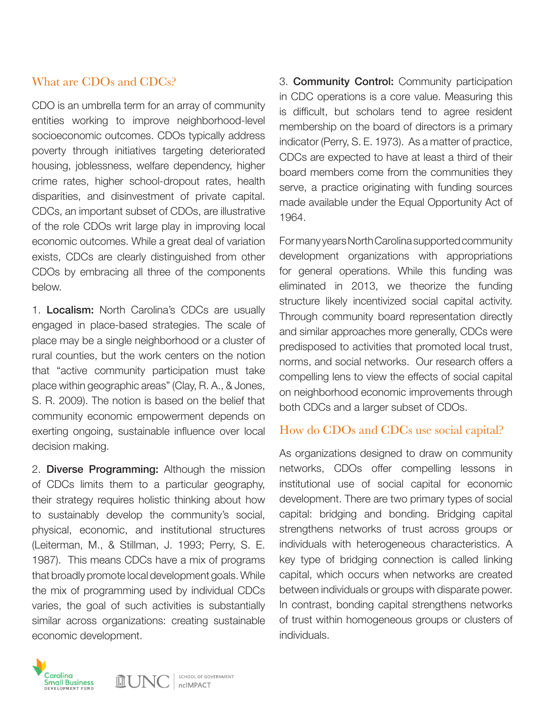# What are CDOs and CDCs?

CDO is an umbrella term for an array of community entities working to improve neighborhood-level socioeconomic outcomes. CDOs typically address poverty through initiatives targeting deteriorated housing, joblessness, welfare dependency, higher crime rates, higher school-dropout rates, health disparities, and disinvestment of private capital. CDCs, an important subset of CDOs, are illustrative of the role CDOs writ large play in improving local economic outcomes. While a great deal of variation exists, CDCs are clearly distinguished from other CDOs by embracing all three of the components below.

1. Localism: North Carolina's CDCs are usually engaged in place-based strategies. The scale of place may be a single neighborhood or a cluster of rural counties, but the work centers on the notion that "active community participation must take place within geographic areas" (Clay, R. A., & Jones, S. R. 2009). The notion is based on the belief that community economic empowerment depends on exerting ongoing, sustainable influence over local decision making.

2. Diverse Programming: Although the mission of CDCs limits them to a particular geography, their strategy requires holistic thinking about how to sustainably develop the community's social, physical, economic, and institutional structures (Leiterman, M., & Stillman, J. 1993; Perry, S. E. 1987). This means CDCs have a mix of programs that broadly promote local development goals. While the mix of programming used by individual CDCs varies, the goal of such activities is substantially similar across organizations: creating sustainable economic development.

3. Community Control: Community participation in CDC operations is a core value. Measuring this is difficult, but scholars tend to agree resident membership on the board of directors is a primary indicator (Perry, S. E. 1973). As a matter of practice, CDCs are expected to have at least a third of their board members come from the communities they serve, a practice originating with funding sources made available under the Equal Opportunity Act of 1964.

For many years North Carolina supported community development organizations with appropriations for general operations. While this funding was eliminated in 2013, we theorize the funding structure likely incentivized social capital activity. Through community board representation directly and similar approaches more generally, CDCs were predisposed to activities that promoted local trust, norms, and social networks. Our research offers a compelling lens to view the effects of social capital on neighborhood economic improvements through both CDCs and a larger subset of CDOs.

## How do CDOs and CDCs use social capital?

As organizations designed to draw on community networks, CDOs offer compelling lessons in institutional use of social capital for economic development. There are two primary types of social capital: bridging and bonding. Bridging capital strengthens networks of trust across groups or individuals with heterogeneous characteristics. A key type of bridging connection is called linking capital, which occurs when networks are created between individuals or groups with disparate power. In contrast, bonding capital strengthens networks of trust within homogeneous groups or clusters of individuals.

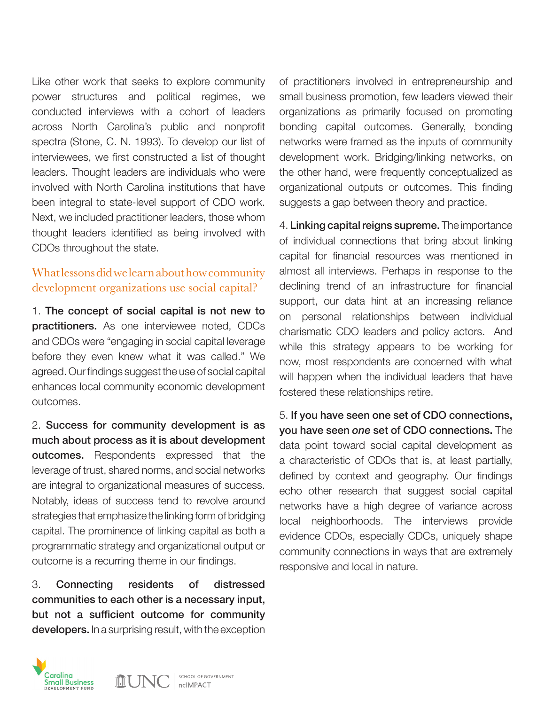Like other work that seeks to explore community power structures and political regimes, we conducted interviews with a cohort of leaders across North Carolina's public and nonprofit spectra (Stone, C. N. 1993). To develop our list of interviewees, we first constructed a list of thought leaders. Thought leaders are individuals who were involved with North Carolina institutions that have been integral to state-level support of CDO work. Next, we included practitioner leaders, those whom thought leaders identified as being involved with CDOs throughout the state.

# What lessons did we learn about how community development organizations use social capital?

1. The concept of social capital is not new to practitioners. As one interviewee noted, CDCs and CDOs were "engaging in social capital leverage before they even knew what it was called." We agreed. Our findings suggest the use of social capital enhances local community economic development outcomes.

2. Success for community development is as much about process as it is about development outcomes. Respondents expressed that the leverage of trust, shared norms, and social networks are integral to organizational measures of success. Notably, ideas of success tend to revolve around strategies that emphasize the linking form of bridging capital. The prominence of linking capital as both a programmatic strategy and organizational output or outcome is a recurring theme in our findings.

3. Connecting residents of distressed communities to each other is a necessary input, but not a sufficient outcome for community developers. In a surprising result, with the exception

of practitioners involved in entrepreneurship and small business promotion, few leaders viewed their organizations as primarily focused on promoting bonding capital outcomes. Generally, bonding networks were framed as the inputs of community development work. Bridging/linking networks, on the other hand, were frequently conceptualized as organizational outputs or outcomes. This finding suggests a gap between theory and practice.

4. Linking capital reigns supreme. The importance of individual connections that bring about linking capital for financial resources was mentioned in almost all interviews. Perhaps in response to the declining trend of an infrastructure for financial support, our data hint at an increasing reliance on personal relationships between individual charismatic CDO leaders and policy actors. And while this strategy appears to be working for now, most respondents are concerned with what will happen when the individual leaders that have fostered these relationships retire.

5. If you have seen one set of CDO connections, you have seen *one* set of CDO connections. The data point toward social capital development as a characteristic of CDOs that is, at least partially, defined by context and geography. Our findings echo other research that suggest social capital networks have a high degree of variance across local neighborhoods. The interviews provide evidence CDOs, especially CDCs, uniquely shape community connections in ways that are extremely responsive and local in nature.